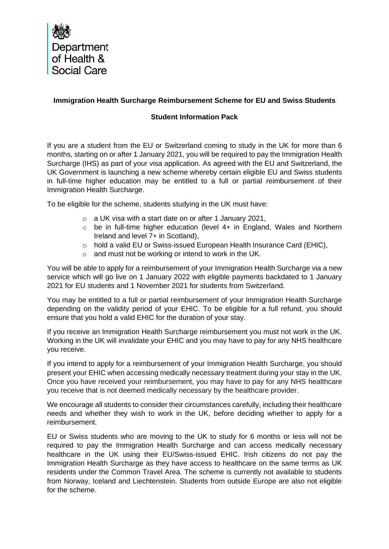

# **Immigration Health Surcharge Reimbursement Scheme for EU and Swiss Students**

## **Student Information Pack**

If you are a student from the EU or Switzerland coming to study in the UK for more than 6 months, starting on or after 1 January 2021, you will be required to pay the Immigration Health Surcharge (IHS) as part of your visa application. As agreed with the EU and Switzerland, the UK Government is launching a new scheme whereby certain eligible EU and Swiss students in full-time higher education may be entitled to a full or partial reimbursement of their Immigration Health Surcharge.

To be eligible for the scheme, students studying in the UK must have:

- o a UK visa with a start date on or after 1 January 2021,
- o be in full-time higher education (level 4+ in England, Wales and Northern Ireland and level 7+ in Scotland),
- $\circ$  hold a valid EU or Swiss-issued European Health Insurance Card (EHIC),
- o and must not be working or intend to work in the UK.

You will be able to apply for a reimbursement of your Immigration Health Surcharge via a new service which will go live on 1 January 2022 with eligible payments backdated to 1 January 2021 for EU students and 1 November 2021 for students from Switzerland.

You may be entitled to a full or partial reimbursement of your Immigration Health Surcharge depending on the validity period of your EHIC. To be eligible for a full refund, you should ensure that you hold a valid EHIC for the duration of your stay.

If you receive an Immigration Health Surcharge reimbursement you must not work in the UK. Working in the UK will invalidate your EHIC and you may have to pay for any NHS healthcare you receive.

If you intend to apply for a reimbursement of your Immigration Health Surcharge, you should present your EHIC when accessing medically necessary treatment during your stay in the UK. Once you have received your reimbursement, you may have to pay for any NHS healthcare you receive that is not deemed medically necessary by the healthcare provider.

We encourage all students to consider their circumstances carefully, including their healthcare needs and whether they wish to work in the UK, before deciding whether to apply for a reimbursement.

EU or Swiss students who are moving to the UK to study for 6 months or less will not be required to pay the Immigration Health Surcharge and can access medically necessary healthcare in the UK using their EU/Swiss-issued EHIC. Irish citizens do not pay the Immigration Health Surcharge as they have access to healthcare on the same terms as UK residents under the Common Travel Area. The scheme is currently not available to students from Norway, Iceland and Liechtenstein. Students from outside Europe are also not eligible for the scheme.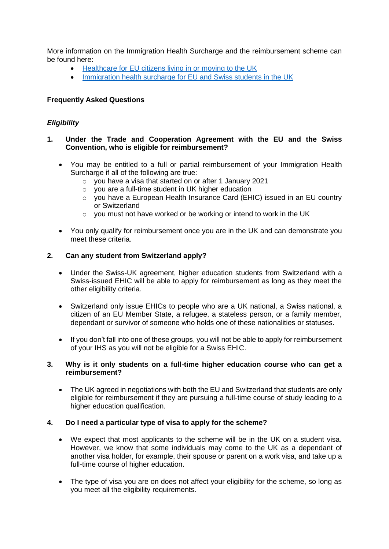More information on the Immigration Health Surcharge and the reimbursement scheme can be found here:

- [Healthcare for EU citizens living in or moving to the UK](https://www.gov.uk/guidance/healthcare-for-eu-and-efta-nationals-living-in-the-uk)
- [Immigration health surcharge for EU and Swiss students in the UK](https://www.gov.uk/guidance/immigration-health-surcharge-for-eu-students-in-the-uk)

## **Frequently Asked Questions**

## *Eligibility*

### **1. Under the Trade and Cooperation Agreement with the EU and the Swiss Convention, who is eligible for reimbursement?**

- You may be entitled to a full or partial reimbursement of your Immigration Health Surcharge if all of the following are true:
	- o you have a visa that started on or after 1 January 2021
	- $\circ$  you are a full-time student in UK higher education
	- o you have a European Health Insurance Card (EHIC) issued in an EU country or Switzerland
	- o you must not have worked or be working or intend to work in the UK
- You only qualify for reimbursement once you are in the UK and can demonstrate you meet these criteria.

### **2. Can any student from Switzerland apply?**

- Under the Swiss-UK agreement, higher education students from Switzerland with a Swiss-issued EHIC will be able to apply for reimbursement as long as they meet the other eligibility criteria.
- Switzerland only issue EHICs to people who are a UK national, a Swiss national, a citizen of an EU Member State, a refugee, a stateless person, or a family member, dependant or survivor of someone who holds one of these nationalities or statuses.
- If you don't fall into one of these groups, you will not be able to apply for reimbursement of your IHS as you will not be eligible for a Swiss EHIC.

#### **3. Why is it only students on a full-time higher education course who can get a reimbursement?**

• The UK agreed in negotiations with both the EU and Switzerland that students are only eligible for reimbursement if they are pursuing a full-time course of study leading to a higher education qualification.

### **4. Do I need a particular type of visa to apply for the scheme?**

- We expect that most applicants to the scheme will be in the UK on a student visa. However, we know that some individuals may come to the UK as a dependant of another visa holder, for example, their spouse or parent on a work visa, and take up a full-time course of higher education.
- The type of visa you are on does not affect your eligibility for the scheme, so long as you meet all the eligibility requirements.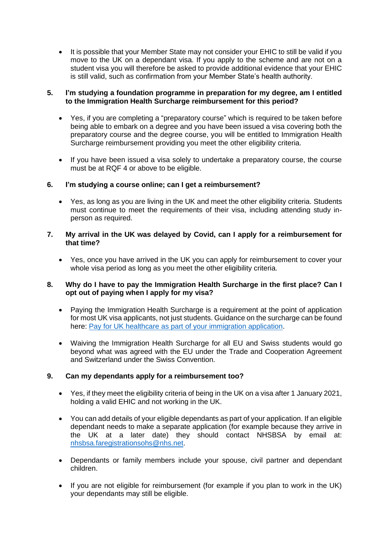• It is possible that your Member State may not consider your EHIC to still be valid if you move to the UK on a dependant visa. If you apply to the scheme and are not on a student visa you will therefore be asked to provide additional evidence that your EHIC is still valid, such as confirmation from your Member State's health authority.

## **5. I'm studying a foundation programme in preparation for my degree, am I entitled to the Immigration Health Surcharge reimbursement for this period?**

- Yes, if you are completing a "preparatory course" which is required to be taken before being able to embark on a degree and you have been issued a visa covering both the preparatory course and the degree course, you will be entitled to Immigration Health Surcharge reimbursement providing you meet the other eligibility criteria.
- If you have been issued a visa solely to undertake a preparatory course, the course must be at RQF 4 or above to be eligible.

### **6. I'm studying a course online; can I get a reimbursement?**

• Yes, as long as you are living in the UK and meet the other eligibility criteria. Students must continue to meet the requirements of their visa, including attending study inperson as required.

#### **7. My arrival in the UK was delayed by Covid, can I apply for a reimbursement for that time?**

• Yes, once you have arrived in the UK you can apply for reimbursement to cover your whole visa period as long as you meet the other eligibility criteria.

### **8. Why do I have to pay the Immigration Health Surcharge in the first place? Can I opt out of paying when I apply for my visa?**

- Paying the Immigration Health Surcharge is a requirement at the point of application for most UK visa applicants, not just students. Guidance on the surcharge can be found here: [Pay for UK healthcare as part of your immigration application.](https://www.gov.uk/healthcare-immigration-application)
- Waiving the Immigration Health Surcharge for all EU and Swiss students would go beyond what was agreed with the EU under the Trade and Cooperation Agreement and Switzerland under the Swiss Convention.

### **9. Can my dependants apply for a reimbursement too?**

- Yes, if they meet the eligibility criteria of being in the UK on a visa after 1 January 2021, holding a valid EHIC and not working in the UK.
- You can add details of your eligible dependants as part of your application. If an eligible dependant needs to make a separate application (for example because they arrive in the UK at a later date) they should contact NHSBSA by email at: [nhsbsa.faregistrationsohs@nhs.net.](mailto:nhsbsa.faregistrationsohs@nhs.net)
- Dependants or family members include your spouse, civil partner and dependant children.
- If you are not eligible for reimbursement (for example if you plan to work in the UK) your dependants may still be eligible.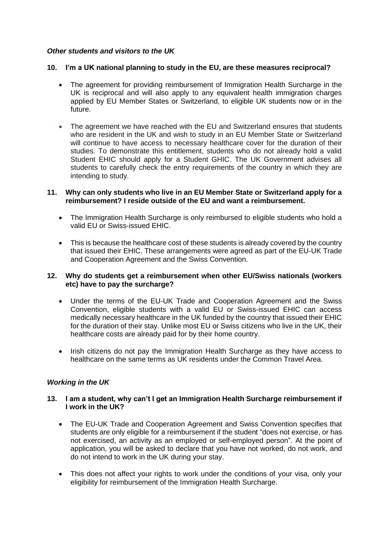#### *Other students and visitors to the UK*

#### **10. I'm a UK national planning to study in the EU, are these measures reciprocal?**

- The agreement for providing reimbursement of Immigration Health Surcharge in the UK is reciprocal and will also apply to any equivalent health immigration charges applied by EU Member States or Switzerland, to eligible UK students now or in the future.
- The agreement we have reached with the EU and Switzerland ensures that students who are resident in the UK and wish to study in an EU Member State or Switzerland will continue to have access to necessary healthcare cover for the duration of their studies. To demonstrate this entitlement, students who do not already hold a valid Student EHIC should apply for a Student GHIC. The UK Government advises all students to carefully check the entry requirements of the country in which they are intending to study.

#### **11. Why can only students who live in an EU Member State or Switzerland apply for a reimbursement? I reside outside of the EU and want a reimbursement.**

- The Immigration Health Surcharge is only reimbursed to eligible students who hold a valid EU or Swiss-issued EHIC.
- This is because the healthcare cost of these students is already covered by the country that issued their EHIC. These arrangements were agreed as part of the EU-UK Trade and Cooperation Agreement and the Swiss Convention.

#### **12. Why do students get a reimbursement when other EU/Swiss nationals (workers etc) have to pay the surcharge?**

- Under the terms of the EU-UK Trade and Cooperation Agreement and the Swiss Convention, eligible students with a valid EU or Swiss-issued EHIC can access medically necessary healthcare in the UK funded by the country that issued their EHIC for the duration of their stay. Unlike most EU or Swiss citizens who live in the UK, their healthcare costs are already paid for by their home country.
- Irish citizens do not pay the Immigration Health Surcharge as they have access to healthcare on the same terms as UK residents under the Common Travel Area.

### *Working in the UK*

#### **13. I am a student, why can't I get an Immigration Health Surcharge reimbursement if I work in the UK?**

- The EU-UK Trade and Cooperation Agreement and Swiss Convention specifies that students are only eligible for a reimbursement if the student "does not exercise, or has not exercised, an activity as an employed or self-employed person". At the point of application, you will be asked to declare that you have not worked, do not work, and do not intend to work in the UK during your stay.
- This does not affect your rights to work under the conditions of your visa, only your eligibility for reimbursement of the Immigration Health Surcharge.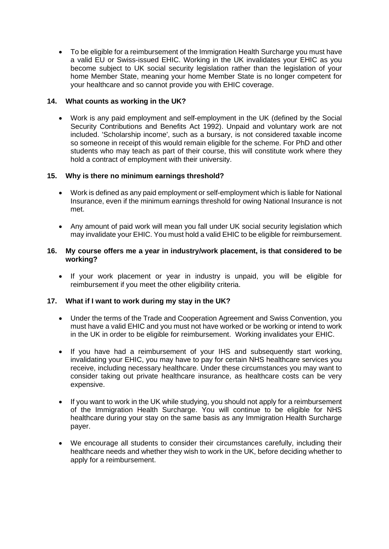• To be eligible for a reimbursement of the Immigration Health Surcharge you must have a valid EU or Swiss-issued EHIC. Working in the UK invalidates your EHIC as you become subject to UK social security legislation rather than the legislation of your home Member State, meaning your home Member State is no longer competent for your healthcare and so cannot provide you with EHIC coverage.

## **14. What counts as working in the UK?**

• Work is any paid employment and self-employment in the UK (defined by the Social Security Contributions and Benefits Act 1992). Unpaid and voluntary work are not included. 'Scholarship income', such as a bursary, is not considered taxable income so someone in receipt of this would remain eligible for the scheme. For PhD and other students who may teach as part of their course, this will constitute work where they hold a contract of employment with their university.

## **15. Why is there no minimum earnings threshold?**

- Work is defined as any paid employment or self-employment which is liable for National Insurance, even if the minimum earnings threshold for owing National Insurance is not met.
- Any amount of paid work will mean you fall under UK social security legislation which may invalidate your EHIC. You must hold a valid EHIC to be eligible for reimbursement.

#### **16. My course offers me a year in industry/work placement, is that considered to be working?**

• If your work placement or year in industry is unpaid, you will be eligible for reimbursement if you meet the other eligibility criteria.

### **17. What if I want to work during my stay in the UK?**

- Under the terms of the Trade and Cooperation Agreement and Swiss Convention, you must have a valid EHIC and you must not have worked or be working or intend to work in the UK in order to be eligible for reimbursement. Working invalidates your EHIC.
- If you have had a reimbursement of your IHS and subsequently start working, invalidating your EHIC, you may have to pay for certain NHS healthcare services you receive, including necessary healthcare. Under these circumstances you may want to consider taking out private healthcare insurance, as healthcare costs can be very expensive.
- If you want to work in the UK while studying, you should not apply for a reimbursement of the Immigration Health Surcharge. You will continue to be eligible for NHS healthcare during your stay on the same basis as any Immigration Health Surcharge payer.
- We encourage all students to consider their circumstances carefully, including their healthcare needs and whether they wish to work in the UK, before deciding whether to apply for a reimbursement.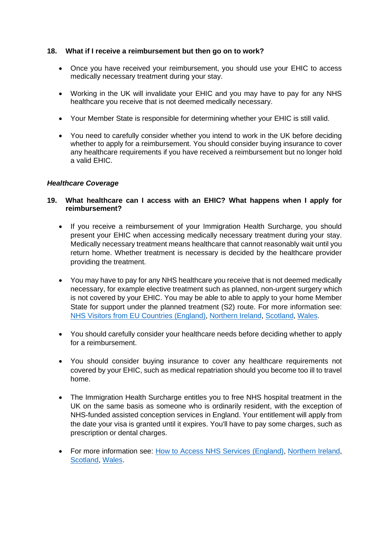#### **18. What if I receive a reimbursement but then go on to work?**

- Once you have received your reimbursement, you should use your EHIC to access medically necessary treatment during your stay.
- Working in the UK will invalidate your EHIC and you may have to pay for any NHS healthcare you receive that is not deemed medically necessary.
- Your Member State is responsible for determining whether your EHIC is still valid.
- You need to carefully consider whether you intend to work in the UK before deciding whether to apply for a reimbursement. You should consider buying insurance to cover any healthcare requirements if you have received a reimbursement but no longer hold a valid EHIC.

#### *Healthcare Coverage*

## **19. What healthcare can I access with an EHIC? What happens when I apply for reimbursement?**

- If you receive a reimbursement of your Immigration Health Surcharge, you should present your EHIC when accessing medically necessary treatment during your stay. Medically necessary treatment means healthcare that cannot reasonably wait until you return home. Whether treatment is necessary is decided by the healthcare provider providing the treatment.
- You may have to pay for any NHS healthcare you receive that is not deemed medically necessary, for example elective treatment such as planned, non-urgent surgery which is not covered by your EHIC. You may be able to able to apply to your home Member State for support under the planned treatment (S2) route. For more information see: [NHS Visitors from EU Countries \(England\),](https://www.nhs.uk/nhs-services/visiting-or-moving-to-england/visitors-from-eu-countries-norway-iceland-liechtenstein-or-switzerland/) [Northern Ireland,](http://www.hscboard.hscni.net/travelfortreatment/s2/) [Scotland,](https://www.nhsinform.scot/care-support-and-rights/health-rights/european-cross-border-healthcare/travelling-to-europe-for-planned-healthcare-the-s2-scheme) [Wales.](https://111.wales.nhs.uk/travelhealth/)
- You should carefully consider your healthcare needs before deciding whether to apply for a reimbursement.
- You should consider buying insurance to cover any healthcare requirements not covered by your EHIC, such as medical repatriation should you become too ill to travel home.
- The Immigration Health Surcharge entitles you to free NHS hospital treatment in the UK on the same basis as someone who is ordinarily resident, with the exception of NHS-funded assisted conception services in England. Your entitlement will apply from the date your visa is granted until it expires. You'll have to pay some charges, such as prescription or dental charges.
- For more information see: [How to Access NHS Services \(England\),](https://www.nhs.uk/nhs-services/visiting-or-moving-to-england/how-to-access-nhs-services-in-england-if-you-are-visiting-from-abroad/) [Northern Ireland,](https://hscbusiness.hscni.net/services/2172.htm) [Scotland,](https://www.nhsinform.scot/care-support-and-rights/health-rights/access/healthcare-for-overseas-visitors) [Wales.](https://111.wales.nhs.uk/travelhealth/)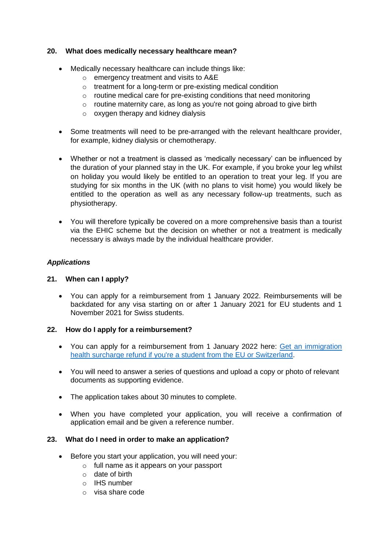## **20. What does medically necessary healthcare mean?**

- Medically necessary healthcare can include things like:
	- o emergency treatment and visits to A&E
	- o treatment for a long-term or pre-existing medical condition
	- o routine medical care for pre-existing conditions that need monitoring
	- o routine maternity care, as long as you're not going abroad to give birth
	- $\circ$  oxygen therapy and kidney dialysis
- Some treatments will need to be pre-arranged with the relevant healthcare provider, for example, kidney dialysis or chemotherapy.
- Whether or not a treatment is classed as 'medically necessary' can be influenced by the duration of your planned stay in the UK. For example, if you broke your leg whilst on holiday you would likely be entitled to an operation to treat your leg. If you are studying for six months in the UK (with no plans to visit home) you would likely be entitled to the operation as well as any necessary follow-up treatments, such as physiotherapy.
- You will therefore typically be covered on a more comprehensive basis than a tourist via the EHIC scheme but the decision on whether or not a treatment is medically necessary is always made by the individual healthcare provider.

## *Applications*

### **21. When can I apply?**

• You can apply for a reimbursement from 1 January 2022. Reimbursements will be backdated for any visa starting on or after 1 January 2021 for EU students and 1 November 2021 for Swiss students.

### **22. How do I apply for a reimbursement?**

- You can apply for a reimbursement from 1 January 2022 here: [Get an immigration](http://www.gov.uk/apply-student-immigration-health-surcharge-refund)  [health surcharge refund if you're a student from the EU or Switzerland.](http://www.gov.uk/apply-student-immigration-health-surcharge-refund)
- You will need to answer a series of questions and upload a copy or photo of relevant documents as supporting evidence.
- The application takes about 30 minutes to complete.
- When you have completed your application, you will receive a confirmation of application email and be given a reference number.

### **23. What do I need in order to make an application?**

- Before you start your application, you will need your:
	- o full name as it appears on your passport
	- o date of birth
	- $\circ$  IHS number
	- o visa share code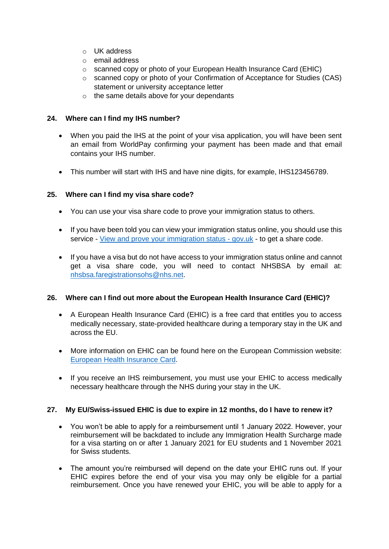- o UK address
- o email address
- $\circ$  scanned copy or photo of your European Health Insurance Card (EHIC)
- o scanned copy or photo of your Confirmation of Acceptance for Studies (CAS) statement or university acceptance letter
- o the same details above for your dependants

## **24. Where can I find my IHS number?**

- When you paid the IHS at the point of your visa application, you will have been sent an email from WorldPay confirming your payment has been made and that email contains your IHS number.
- This number will start with IHS and have nine digits, for example, IHS123456789.

## **25. Where can I find my visa share code?**

- You can use your visa share code to prove your immigration status to others.
- If you have been told you can view your immigration status online, you should use this service - [View and prove your immigration status -](https://www.gov.uk/view-prove-immigration-status) gov.uk - to get a share code.
- If you have a visa but do not have access to your immigration status online and cannot get a visa share code, you will need to contact NHSBSA by email at: [nhsbsa.faregistrationsohs@nhs.net.](mailto:nhsbsa.faregistrationsohs@nhs.net)

# **26. Where can I find out more about the European Health Insurance Card (EHIC)?**

- A European Health Insurance Card (EHIC) is a free card that entitles you to access medically necessary, state-provided healthcare during a temporary stay in the UK and across the EU.
- More information on EHIC can be found here on the European Commission website: [European Health Insurance Card.](https://ec.europa.eu/social/main.jsp?catId=559&langId=en)
- If you receive an IHS reimbursement, you must use your EHIC to access medically necessary healthcare through the NHS during your stay in the UK.

### **27. My EU/Swiss-issued EHIC is due to expire in 12 months, do I have to renew it?**

- You won't be able to apply for a reimbursement until 1 January 2022. However, your reimbursement will be backdated to include any Immigration Health Surcharge made for a visa starting on or after 1 January 2021 for EU students and 1 November 2021 for Swiss students.
- The amount you're reimbursed will depend on the date your EHIC runs out. If your EHIC expires before the end of your visa you may only be eligible for a partial reimbursement. Once you have renewed your EHIC, you will be able to apply for a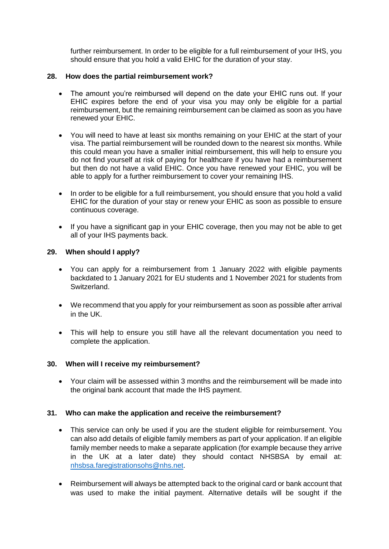further reimbursement. In order to be eligible for a full reimbursement of your IHS, you should ensure that you hold a valid EHIC for the duration of your stay.

## **28. How does the partial reimbursement work?**

- The amount you're reimbursed will depend on the date your EHIC runs out. If your EHIC expires before the end of your visa you may only be eligible for a partial reimbursement, but the remaining reimbursement can be claimed as soon as you have renewed your EHIC.
- You will need to have at least six months remaining on your EHIC at the start of your visa. The partial reimbursement will be rounded down to the nearest six months. While this could mean you have a smaller initial reimbursement, this will help to ensure you do not find yourself at risk of paying for healthcare if you have had a reimbursement but then do not have a valid EHIC. Once you have renewed your EHIC, you will be able to apply for a further reimbursement to cover your remaining IHS.
- In order to be eligible for a full reimbursement, you should ensure that you hold a valid EHIC for the duration of your stay or renew your EHIC as soon as possible to ensure continuous coverage.
- If you have a significant gap in your EHIC coverage, then you may not be able to get all of your IHS payments back.

## **29. When should I apply?**

- You can apply for a reimbursement from 1 January 2022 with eligible payments backdated to 1 January 2021 for EU students and 1 November 2021 for students from Switzerland.
- We recommend that you apply for your reimbursement as soon as possible after arrival in the UK.
- This will help to ensure you still have all the relevant documentation you need to complete the application.

### **30. When will I receive my reimbursement?**

• Your claim will be assessed within 3 months and the reimbursement will be made into the original bank account that made the IHS payment.

### **31. Who can make the application and receive the reimbursement?**

- This service can only be used if you are the student eligible for reimbursement. You can also add details of eligible family members as part of your application. If an eligible family member needs to make a separate application (for example because they arrive in the UK at a later date) they should contact NHSBSA by email at: [nhsbsa.faregistrationsohs@nhs.net.](mailto:nhsbsa.faregistrationsohs@nhs.net)
- Reimbursement will always be attempted back to the original card or bank account that was used to make the initial payment. Alternative details will be sought if the